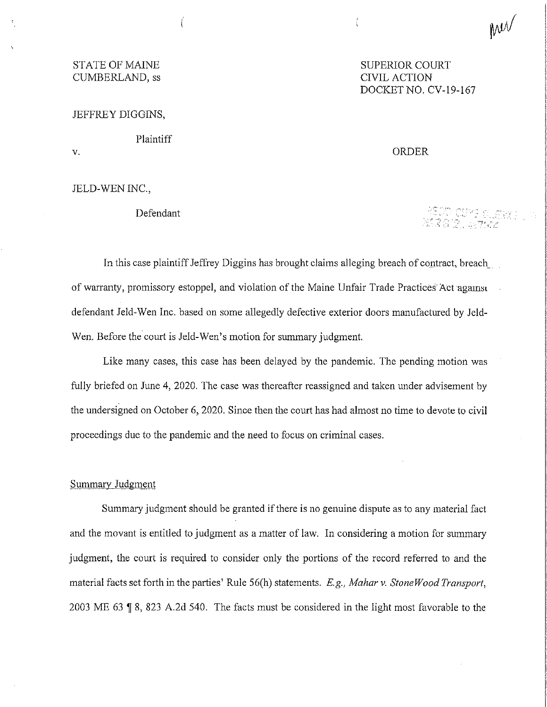# STATE OF MAINE SUPERIOR COURT CUMBERLAND, ss CIVIL ACTION

JEFFREY DIGGINS,

Plaintiff

v.

JELD-WEN INC.,

Defendant

DOCKET NO. CV-19-167

Mer

ORDER

-seud-cispo di eta:<br>Mga isologiyak

In this case plaintiff Jeffrey Diggins has brought claims alleging breach of contract, breach of warranty, promissory estoppel, and violation of the Maine Unfair Trade Practices Act-agamsc defendant Jeld-Wen Inc. based on some allegedly defective exterior doors manufactured by Jeld-Wen. Before the court is Jeld-Wen's motion for summary judgment.

Like many cases, this case has been delayed by the pandemic. The pending motion was fully briefed on June 4, 2020. The case was thereafter reassigned and taken under advisement by the undersigned on October 6, 2020. Since then the court has had almost no time to devote to civil proceedings due to the pandemic and the need to focus on criminal cases.

### Summary Judgment

Summary judgment should be granted if there is no genuine dispute as to any material fact and the movant is entitled to judgment as a matter of law. In considering a motion for summary judgment, the court is required to consider only the portions of the record referred to and the material facts set forth in the parties' Rule 56(h) statements. *E.g., Mahar v. Stone Wood Transport,*  2003 ME 63 1 8, 823 A.2d 540. The facts must be considered in the light most favorable to the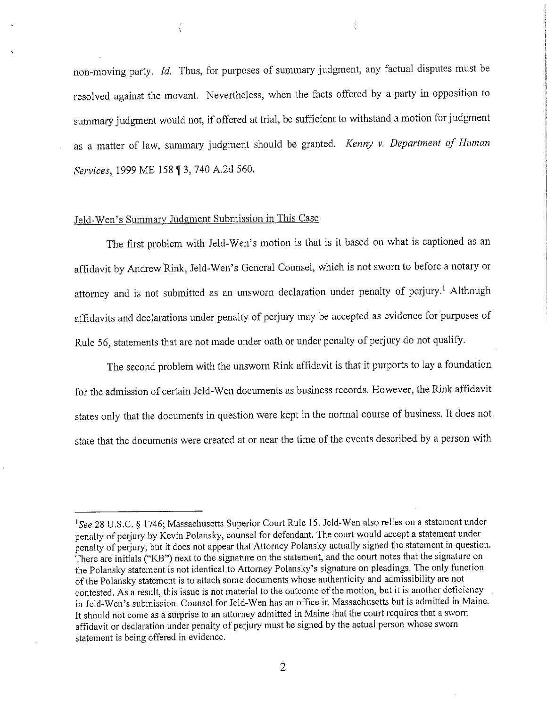non-moving party. *Id.* Thus, for purposes of summary judgment, any factual disputes must be resolved against the movant. Nevertheless, when the facts offered by a party in opposition to summary judgment would not, if offered at trial, be sufficient to withstand a motion for judgment as a matter of law, summary judgment should be granted. *Kenny v. Department of Human Services,* 1999 ME 158 ~ 3, 740 A.2d 560.

## Jeld-Wen's Summary Judgment Submission in This Case

ť

The first problem with Jeld-Wen's motion is that is it based on what is captioned as an affidavit by Andrew Rink, Jeld-Wen's General Counsel, which is not sworn to before a notary or attorney and is not submitted as an unsworn declaration under penalty of perjury.<sup>1</sup> Although affidavits and declarations under penalty of perjury may be accepted as evidence for purposes of Rule 56, statements that are not made under oath or under penalty of perjury do not qualify.

The second problem with the unsworn Rink affidavit is that it purports to lay a foundation for the admission of certain Jeld-Wen documents as business records. However, the Rink affidavit states only that the documents in question were kept in the normal course of business. It does not state that the documents were created at or near the time of the events described by a person with

<sup>&</sup>lt;sup>1</sup>See 28 U.S.C. § 1746; Massachusetts Superior Court Rule 15. Jeld-Wen also relies on a statement under penalty of perjury by Kevin Polansky, counsel for defendant. The court would accept a statement under penalty of perjury, but it does not appear that Attorney Polansky actually signed the statement in question. There are initials ("KB") next to the signature on the statement, and the court notes that the signature on the Polansky statement is not identical to Attorney Polansky's signature on pleadings. The only function of the Polansky statement is to attach some documents whose authenticity and admissibility are not contested. As a result, this issue is not material to the outcome of the motion, but it is another deficiency in Jeld-Wen's submission. Counsel for Jeld-Wen has an office in Massachusetts but is admitted in Maine. It should not come as a surprise to an attorney admitted in Maine that the court requires that a sworn affidavit or declaration under penalty of perjury must be signed by the actual person whose sworn statement is being offered in evidence.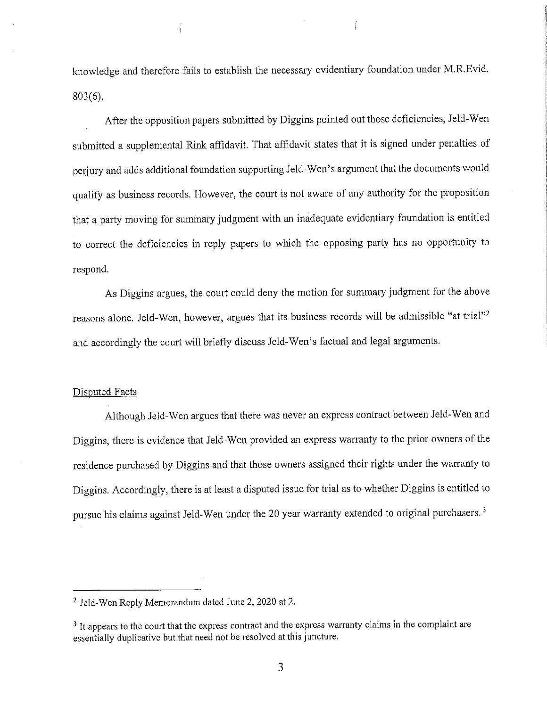knowledge and therefore fails to establish the necessary evidentiary foundation under M.R.Evid. 803(6).

After the opposition papers submitted by Diggins pointed out those deficiencies, Jeld-Wen submitted a supplemental Rink affidavit. That affidavit states that it is signed under penalties of perjury and adds additional foundation supporting Jeld-Wen's argument that the documents would qualify as business records. However, the court is not aware of any authority for the proposition that a party moving for summary judgment with an inadequate evidentiary foundation is entitled to correct the deficiencies in reply papers to which the opposing party has no opportunity to respond.

As Diggins argues, the court could deny the motion for summary judgment for the above reasons alone. Jeld-Wen, however, argues that its business records will be admissible "at trial"<sup>2</sup> and accordingly the court will briefly discuss Jeld-Wen's factual and legal arguments.

### Disputed Facts

Although Jeld-Wen argues that there was never an express contract between Jeld-Wen and Diggins, there is evidence that Jeld-Wen provided an express warranty to the prior owners of the residence purchased by Diggins and that those owners assigned their rights under the warranty to Diggins. Accordingly, there is at least a disputed issue for trial as to whether Diggins is entitled to pursue his claims against Jeld-Wen under the 20 year warranty extended to original purchasers. 3

<sup>&</sup>lt;sup>2</sup> Jeld-Wen Reply Memorandum dated June 2, 2020 at 2.

<sup>&</sup>lt;sup>3</sup> It appears to the court that the express contract and the express warranty claims in the complaint are essentially duplicative but that need not be resolved at this juncture.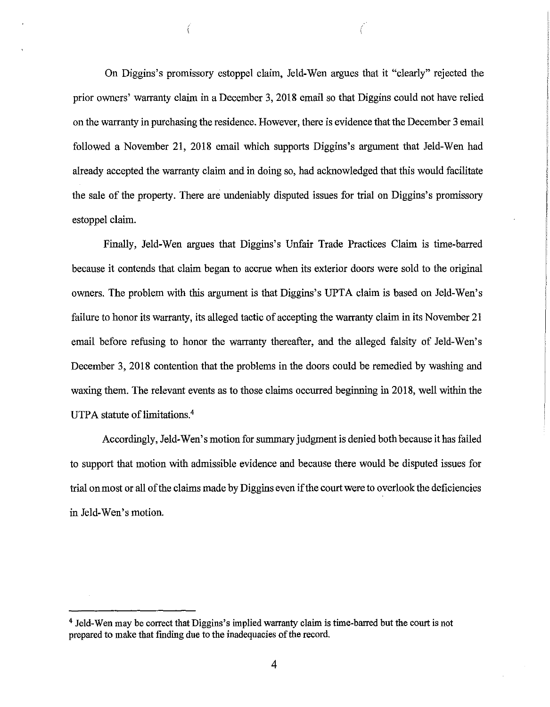On Diggins's promissory estoppel claim, Jeld-Wen argues that it "clearly" rejected the prior owners' warranty claim in a December 3, 2018 email so that Diggins could not have relied on the warranty in purchasing the residence. However, there is evidence that the December 3 email followed a November 21, 2018 email which supports Diggins's argument that Jeld-Wen had already accepted the warranty claim and in doing so, had acknowledged that this would facilitate the sale of the property. There are undeniably disputed issues for trial on Diggins's promissory estoppel claim.

Finally, Jeld-Wen argues that Diggins's Unfair Trade Practices Claim is time-barred because it contends that claim began to accrue when its exterior doors were sold to the original owners. The problem with this argument is that Diggins's UPTA claim is based on Jeld-Wen's failure to honor its warranty, its alleged tactic of accepting the warranty claim in its November 21 email before refusing to honor the warranty thereafter, and the alleged falsity of Jeld-Wen's December 3, 2018 contention that the problems in the doors could be remedied by washing and waxing them. The relevant events as to those claims occurred beginning in 2018, well within the UTPA statute of limitations.<sup>4</sup>

Accordingly, Jeld-Wen's motion for summary judgment is denied both because it has failed to support that motion with admissible evidence and because there would be disputed issues for trial on most or all of the claims made by Diggins even if the court were to overlook the deficiencies in Jeld-Wen's motion.

<sup>&</sup>lt;sup>4</sup> Jeld-Wen may be correct that Diggins's implied warranty claim is time-barred but the court is not prepared to make that finding due to the inadequacies of the record.